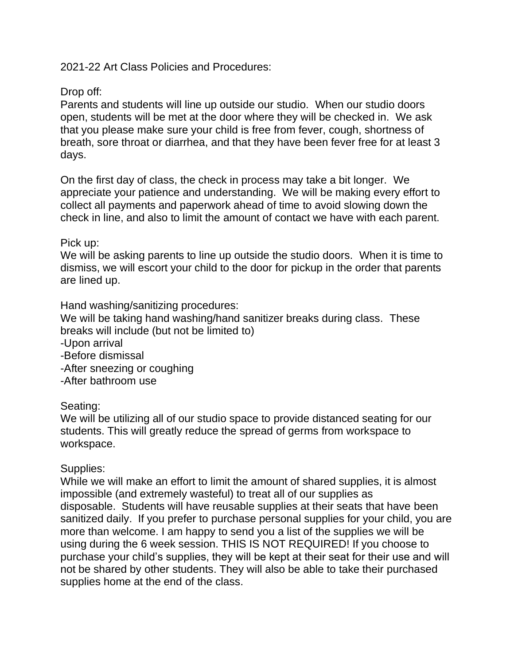2021-22 Art Class Policies and Procedures:

## Drop off:

Parents and students will line up outside our studio. When our studio doors open, students will be met at the door where they will be checked in. We ask that you please make sure your child is free from fever, cough, shortness of breath, sore throat or diarrhea, and that they have been fever free for at least 3 days.

On the first day of class, the check in process may take a bit longer. We appreciate your patience and understanding. We will be making every effort to collect all payments and paperwork ahead of time to avoid slowing down the check in line, and also to limit the amount of contact we have with each parent.

## Pick up:

We will be asking parents to line up outside the studio doors. When it is time to dismiss, we will escort your child to the door for pickup in the order that parents are lined up.

Hand washing/sanitizing procedures:

We will be taking hand washing/hand sanitizer breaks during class. These breaks will include (but not be limited to)

-Upon arrival

-Before dismissal

-After sneezing or coughing

-After bathroom use

## Seating:

We will be utilizing all of our studio space to provide distanced seating for our students. This will greatly reduce the spread of germs from workspace to workspace.

## Supplies:

While we will make an effort to limit the amount of shared supplies, it is almost impossible (and extremely wasteful) to treat all of our supplies as disposable. Students will have reusable supplies at their seats that have been sanitized daily. If you prefer to purchase personal supplies for your child, you are more than welcome. I am happy to send you a list of the supplies we will be using during the 6 week session. THIS IS NOT REQUIRED! If you choose to purchase your child's supplies, they will be kept at their seat for their use and will not be shared by other students. They will also be able to take their purchased supplies home at the end of the class.